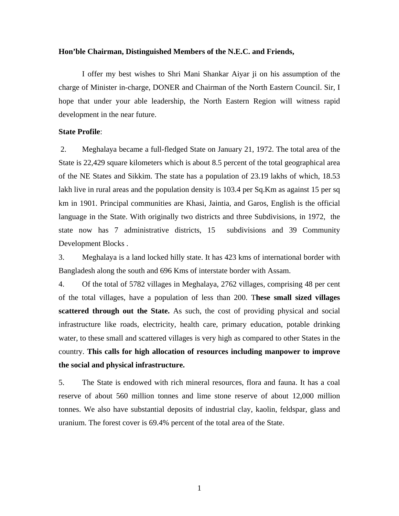### **Hon'ble Chairman, Distinguished Members of the N.E.C. and Friends,**

 I offer my best wishes to Shri Mani Shankar Aiyar ji on his assumption of the charge of Minister in-charge, DONER and Chairman of the North Eastern Council. Sir, I hope that under your able leadership, the North Eastern Region will witness rapid development in the near future.

### **State Profile**:

 2. Meghalaya became a full-fledged State on January 21, 1972. The total area of the State is 22,429 square kilometers which is about 8.5 percent of the total geographical area of the NE States and Sikkim. The state has a population of 23.19 lakhs of which, 18.53 lakh live in rural areas and the population density is 103.4 per Sq.Km as against 15 per sq km in 1901. Principal communities are Khasi, Jaintia, and Garos, English is the official language in the State. With originally two districts and three Subdivisions, in 1972, the state now has 7 administrative districts, 15 subdivisions and 39 Community Development Blocks .

3. Meghalaya is a land locked hilly state. It has 423 kms of international border with Bangladesh along the south and 696 Kms of interstate border with Assam.

4. Of the total of 5782 villages in Meghalaya, 2762 villages, comprising 48 per cent of the total villages, have a population of less than 200. T**hese small sized villages scattered through out the State.** As such, the cost of providing physical and social infrastructure like roads, electricity, health care, primary education, potable drinking water, to these small and scattered villages is very high as compared to other States in the country. **This calls for high allocation of resources including manpower to improve the social and physical infrastructure.**

5. The State is endowed with rich mineral resources, flora and fauna. It has a coal reserve of about 560 million tonnes and lime stone reserve of about 12,000 million tonnes. We also have substantial deposits of industrial clay, kaolin, feldspar, glass and uranium. The forest cover is 69.4% percent of the total area of the State.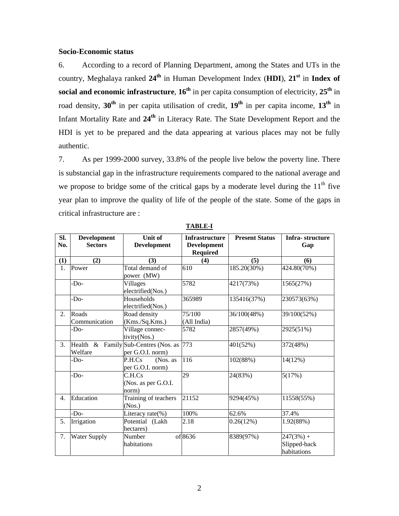## **Socio-Economic status**

6. According to a record of Planning Department, among the States and UTs in the country, Meghalaya ranked **24th** in Human Development Index (**HDI**), **21st** in **Index of social and economic infrastructure, 16<sup>th</sup>** in per capita consumption of electricity, 25<sup>th</sup> in road density, **30th** in per capita utilisation of credit, **19th** in per capita income, **13th** in Infant Mortality Rate and **24th** in Literacy Rate. The State Development Report and the HDI is yet to be prepared and the data appearing at various places may not be fully authentic.

7. As per 1999-2000 survey, 33.8% of the people live below the poverty line. There is substancial gap in the infrastructure requirements compared to the national average and we propose to bridge some of the critical gaps by a moderate level during the  $11<sup>th</sup>$  five year plan to improve the quality of life of the people of the state. Some of the gaps in critical infrastructure are :

| SI.<br>No. | <b>Development</b><br><b>Sectors</b> | Unit of<br><b>Development</b>                   | <b>Infrastructure</b><br><b>Development</b><br><b>Required</b> | <b>Present Status</b> | Infra-structure<br>Gap                     |
|------------|--------------------------------------|-------------------------------------------------|----------------------------------------------------------------|-----------------------|--------------------------------------------|
| (1)        | (2)                                  | (3)                                             | (4)                                                            | (5)                   | (6)                                        |
| 1.         | Power                                | Total demand of<br>power (MW)                   | 610                                                            | 185.20(30%)           | 424.80(70%)                                |
|            | -Do-                                 | Villages<br>electrified(Nos.)                   | 5782                                                           | 4217(73%)             | 1565(27%)                                  |
|            | -Do-                                 | Households<br>electrified(Nos.)                 | 365989                                                         | 135416(37%)           | 230573(63%)                                |
| 2.         | Roads<br>Communication               | Road density<br>(Kms./Sq.Kms.)                  | 75/100<br>(All India)                                          | 36/100(48%)           | 39/100(52%)                                |
|            | -Do-                                 | Village connec-<br>tivity(Nos.)                 | 5782                                                           | 2857(49%)             | 2925(51%)                                  |
| 3.         | Health $&$<br>Welfare                | Family Sub-Centres (Nos. as<br>per G.O.I. norm) | 773                                                            | 401(52%)              | 372(48%)                                   |
|            | -Do-                                 | P.H.Cs<br>(Nos. as<br>per G.O.I. norm)          | 116                                                            | 102(88%)              | 14(12%)                                    |
|            | -Do-                                 | C.H.Cs<br>(Nos. as per G.O.I.<br>norm)          | 29                                                             | 24(83%)               | 5(17%)                                     |
| 4.         | Education                            | Training of teachers<br>(Nos.)                  | 21152                                                          | 9294(45%)             | 11558(55%)                                 |
|            | -Do-                                 | Literacy rate(%)                                | 100%                                                           | 62.6%                 | 37.4%                                      |
| 5.         | Irrigation                           | Potential (Lakh<br>hectares)                    | 2.18                                                           | 0.26(12%)             | 1.92(88%)                                  |
| 7.         | <b>Water Supply</b>                  | Number<br>habitations                           | of 8636                                                        | 8389(97%)             | $247(3%) +$<br>Slipped-back<br>habitations |

**TABLE-I**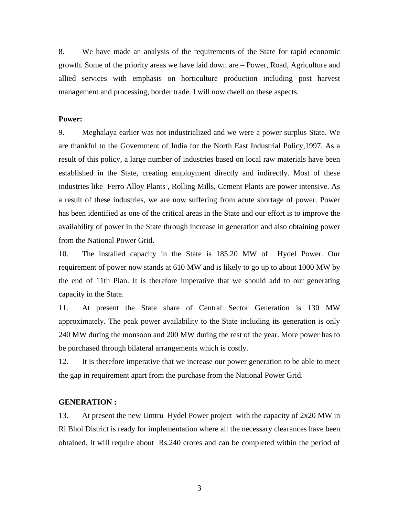8. We have made an analysis of the requirements of the State for rapid economic growth. Some of the priority areas we have laid down are – Power, Road, Agriculture and allied services with emphasis on horticulture production including post harvest management and processing, border trade. I will now dwell on these aspects.

### **Power:**

9. Meghalaya earlier was not industrialized and we were a power surplus State. We are thankful to the Government of India for the North East Industrial Policy,1997. As a result of this policy, a large number of industries based on local raw materials have been established in the State, creating employment directly and indirectly. Most of these industries like Ferro Alloy Plants , Rolling Mills, Cement Plants are power intensive. As a result of these industries, we are now suffering from acute shortage of power. Power has been identified as one of the critical areas in the State and our effort is to improve the availability of power in the State through increase in generation and also obtaining power from the National Power Grid.

10. The installed capacity in the State is 185.20 MW of Hydel Power. Our requirement of power now stands at 610 MW and is likely to go up to about 1000 MW by the end of 11th Plan. It is therefore imperative that we should add to our generating capacity in the State.

11. At present the State share of Central Sector Generation is 130 MW approximately. The peak power availability to the State including its generation is only 240 MW during the monsoon and 200 MW during the rest of the year. More power has to be purchased through bilateral arrangements which is costly.

12. It is therefore imperative that we increase our power generation to be able to meet the gap in requirement apart from the purchase from the National Power Grid.

## **GENERATION :**

13. At present the new Umtru Hydel Power project with the capacity of 2x20 MW in Ri Bhoi District is ready for implementation where all the necessary clearances have been obtained. It will require about Rs.240 crores and can be completed within the period of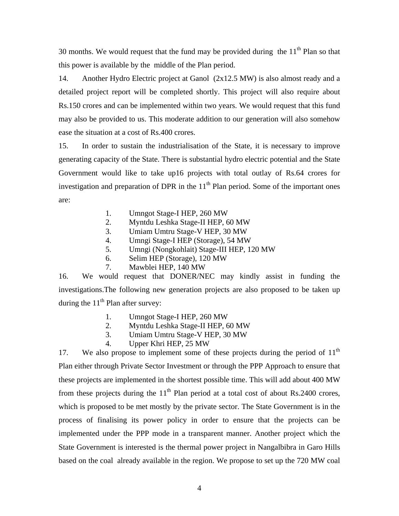30 months. We would request that the fund may be provided during the  $11<sup>th</sup>$  Plan so that this power is available by the middle of the Plan period.

14. Another Hydro Electric project at Ganol (2x12.5 MW) is also almost ready and a detailed project report will be completed shortly. This project will also require about Rs.150 crores and can be implemented within two years. We would request that this fund may also be provided to us. This moderate addition to our generation will also somehow ease the situation at a cost of Rs.400 crores.

15. In order to sustain the industrialisation of the State, it is necessary to improve generating capacity of the State. There is substantial hydro electric potential and the State Government would like to take up16 projects with total outlay of Rs.64 crores for investigation and preparation of DPR in the  $11<sup>th</sup>$  Plan period. Some of the important ones are:

- 1. Umngot Stage-I HEP, 260 MW
- 2. Myntdu Leshka Stage-II HEP, 60 MW
- 3. Umiam Umtru Stage-V HEP, 30 MW
- 4. Umngi Stage-I HEP (Storage), 54 MW
- 5. Umngi (Nongkohlait) Stage-III HEP, 120 MW
- 6. Selim HEP (Storage), 120 MW
- 7. Mawblei HEP, 140 MW

16. We would request that DONER/NEC may kindly assist in funding the investigations.The following new generation projects are also proposed to be taken up during the  $11<sup>th</sup>$  Plan after survey:

- 1. Umngot Stage-I HEP, 260 MW
- 2. Myntdu Leshka Stage-II HEP, 60 MW
- 3. Umiam Umtru Stage-V HEP, 30 MW
- 4. Upper Khri HEP, 25 MW

17. We also propose to implement some of these projects during the period of  $11<sup>th</sup>$ Plan either through Private Sector Investment or through the PPP Approach to ensure that these projects are implemented in the shortest possible time. This will add about 400 MW from these projects during the  $11<sup>th</sup>$  Plan period at a total cost of about Rs.2400 crores, which is proposed to be met mostly by the private sector. The State Government is in the process of finalising its power policy in order to ensure that the projects can be implemented under the PPP mode in a transparent manner. Another project which the State Government is interested is the thermal power project in Nangalbibra in Garo Hills based on the coal already available in the region. We propose to set up the 720 MW coal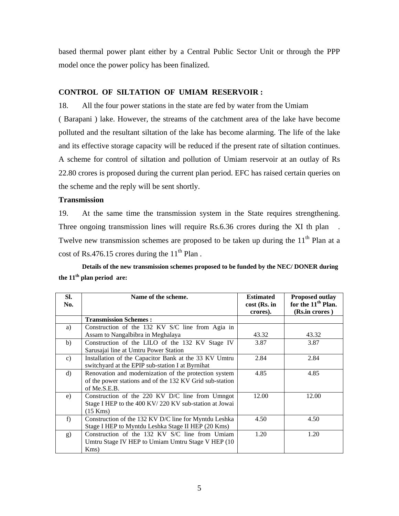based thermal power plant either by a Central Public Sector Unit or through the PPP model once the power policy has been finalized.

## **CONTROL OF SILTATION OF UMIAM RESERVOIR :**

18. All the four power stations in the state are fed by water from the Umiam

( Barapani ) lake. However, the streams of the catchment area of the lake have become polluted and the resultant siltation of the lake has become alarming. The life of the lake and its effective storage capacity will be reduced if the present rate of siltation continues. A scheme for control of siltation and pollution of Umiam reservoir at an outlay of Rs 22.80 crores is proposed during the current plan period. EFC has raised certain queries on the scheme and the reply will be sent shortly.

### **Transmission**

19. At the same time the transmission system in the State requires strengthening. Three ongoing transmission lines will require Rs.6.36 crores during the XI th plan. Twelve new transmission schemes are proposed to be taken up during the  $11<sup>th</sup>$  Plan at a cost of Rs.476.15 crores during the  $11<sup>th</sup>$  Plan.

**Details of the new transmission schemes proposed to be funded by the NEC/ DONER during the 11th plan period are:** 

| SI. | Name of the scheme.                                      | <b>Estimated</b> | <b>Proposed outlay</b>         |
|-----|----------------------------------------------------------|------------------|--------------------------------|
| No. |                                                          | cost (Rs. in     | for the 11 <sup>th</sup> Plan. |
|     |                                                          | crores).         | (Rs.in crores)                 |
|     | <b>Transmission Schemes:</b>                             |                  |                                |
| a)  | Construction of the 132 KV S/C line from Agia in         |                  |                                |
|     | Assam to Nangalbibra in Meghalaya                        | 43.32            | 43.32                          |
| b)  | Construction of the LILO of the 132 KV Stage IV          | 3.87             | 3.87                           |
|     | Sarusajai line at Umtru Power Station                    |                  |                                |
| c)  | Installation of the Capacitor Bank at the 33 KV Umtru    | 2.84             | 2.84                           |
|     | switchyard at the EPIP sub-station I at Byrnihat         |                  |                                |
| d)  | Renovation and modernization of the protection system    | 4.85             | 4.85                           |
|     | of the power stations and of the 132 KV Grid sub-station |                  |                                |
|     | of Me.S.E.B.                                             |                  |                                |
| e)  | Construction of the 220 KV D/C line from Umngot          | 12.00            | 12.00                          |
|     | Stage I HEP to the 400 KV/220 KV sub-station at Jowai    |                  |                                |
|     | $(15$ Kms)                                               |                  |                                |
| f)  | Construction of the 132 KV D/C line for Myntdu Leshka    | 4.50             | 4.50                           |
|     | Stage I HEP to Myntdu Leshka Stage II HEP (20 Kms)       |                  |                                |
| g)  | Construction of the 132 KV S/C line from Umiam           | 1.20             | 1.20                           |
|     | Umtru Stage IV HEP to Umiam Umtru Stage V HEP (10)       |                  |                                |
|     | $Kms$ )                                                  |                  |                                |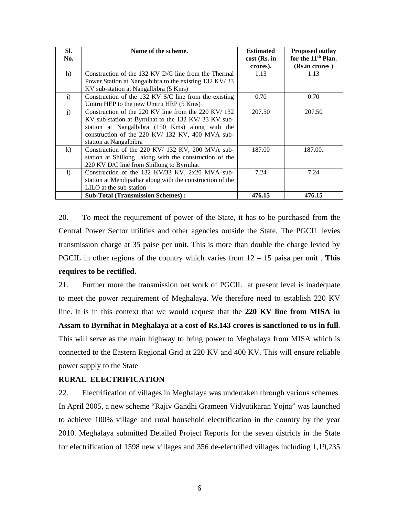| SI.          | Name of the scheme.                                       | <b>Estimated</b> | <b>Proposed outlay</b>         |
|--------------|-----------------------------------------------------------|------------------|--------------------------------|
| No.          |                                                           | cost (Rs. in     | for the 11 <sup>th</sup> Plan. |
|              |                                                           | crores).         | (Rs.in crores)                 |
| h)           | Construction of the 132 KV D/C line from the Thermal      | 1.13             | 1.13                           |
|              | Power Station at Nangalbibra to the existing 132 KV/33    |                  |                                |
|              | KV sub-station at Nangalbibra (5 Kms)                     |                  |                                |
| $\mathbf{i}$ | Construction of the 132 KV S/C line from the existing     | 0.70             | 0.70                           |
|              | Umtru HEP to the new Umtru HEP (5 Kms)                    |                  |                                |
| $\mathbf{j}$ | Construction of the 220 KV line from the 220 KV/ 132      | 207.50           | 207.50                         |
|              | KV sub-station at Byrnihat to the 132 KV/33 KV sub-       |                  |                                |
|              | station at Nangalbibra (150 Kms) along with the           |                  |                                |
|              | construction of the 220 KV/ 132 KV, 400 MVA sub-          |                  |                                |
|              | station at Nangalbibra                                    |                  |                                |
| $\bf k)$     | Construction of the 220 KV/ 132 KV, 200 MVA sub-          | 187.00           | 187.00.                        |
|              | station at Shillong along with the construction of the    |                  |                                |
|              | 220 KV D/C line from Shillong to Byrnihat                 |                  |                                |
| $\mathbf{D}$ | Construction of the 132 KV/33 KV, 2x20 MVA sub-           | 7.24             | 7.24                           |
|              | station at Mendipathar along with the construction of the |                  |                                |
|              | LILO at the sub-station                                   |                  |                                |
|              | <b>Sub-Total (Transmission Schemes):</b>                  | 476.15           | 476.15                         |

20. To meet the requirement of power of the State, it has to be purchased from the Central Power Sector utilities and other agencies outside the State. The PGCIL levies transmission charge at 35 paise per unit. This is more than double the charge levied by PGCIL in other regions of the country which varies from 12 – 15 paisa per unit . **This requires to be rectified.** 

21. Further more the transmission net work of PGCIL at present level is inadequate to meet the power requirement of Meghalaya. We therefore need to establish 220 KV line. It is in this context that we would request that the **220 KV line from MISA in Assam to Byrnihat in Meghalaya at a cost of Rs.143 crores is sanctioned to us in full**. This will serve as the main highway to bring power to Meghalaya from MISA which is connected to the Eastern Regional Grid at 220 KV and 400 KV. This will ensure reliable power supply to the State

## **RURAL ELECTRIFICATION**

22. Electrification of villages in Meghalaya was undertaken through various schemes. In April 2005, a new scheme "Rajiv Gandhi Grameen Vidyutikaran Yojna" was launched to achieve 100% village and rural household electrification in the country by the year 2010. Meghalaya submitted Detailed Project Reports for the seven districts in the State for electrification of 1598 new villages and 356 de-electrified villages including 1,19,235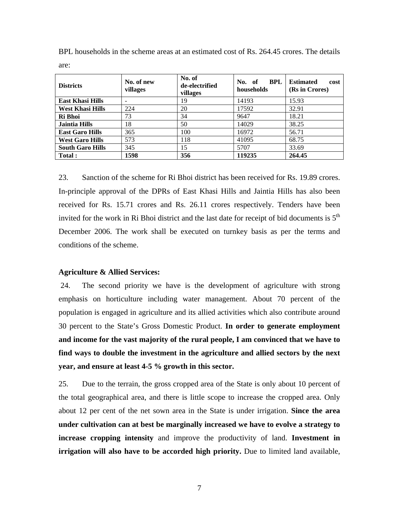| <b>Districts</b>        | No. of new<br>villages | No. of<br>de-electrified<br>villages | <b>BPL</b><br>No. of<br>households | <b>Estimated</b><br>cost<br>(Rs in Crores) |
|-------------------------|------------------------|--------------------------------------|------------------------------------|--------------------------------------------|
| <b>East Khasi Hills</b> |                        | 19                                   | 14193                              | 15.93                                      |
| <b>West Khasi Hills</b> | 224                    | 20                                   | 17592                              | 32.91                                      |
| Ri Bhoi                 | 73                     | 34                                   | 9647                               | 18.21                                      |
| <b>Jaintia Hills</b>    | 18                     | 50                                   | 14029                              | 38.25                                      |
| <b>East Garo Hills</b>  | 365                    | 100                                  | 16972                              | 56.71                                      |
| <b>West Garo Hills</b>  | 573                    | 118                                  | 41095                              | 68.75                                      |
| <b>South Garo Hills</b> | 345                    | 15                                   | 5707                               | 33.69                                      |
| Total:                  | 1598                   | 356                                  | 119235                             | 264.45                                     |

BPL households in the scheme areas at an estimated cost of Rs. 264.45 crores. The details are:

23. Sanction of the scheme for Ri Bhoi district has been received for Rs. 19.89 crores. In-principle approval of the DPRs of East Khasi Hills and Jaintia Hills has also been received for Rs. 15.71 crores and Rs. 26.11 crores respectively. Tenders have been invited for the work in Ri Bhoi district and the last date for receipt of bid documents is  $5<sup>th</sup>$ December 2006. The work shall be executed on turnkey basis as per the terms and conditions of the scheme.

### **Agriculture & Allied Services:**

 24. The second priority we have is the development of agriculture with strong emphasis on horticulture including water management. About 70 percent of the population is engaged in agriculture and its allied activities which also contribute around 30 percent to the State's Gross Domestic Product. **In order to generate employment and income for the vast majority of the rural people, I am convinced that we have to find ways to double the investment in the agriculture and allied sectors by the next year, and ensure at least 4-5 % growth in this sector.** 

25. Due to the terrain, the gross cropped area of the State is only about 10 percent of the total geographical area, and there is little scope to increase the cropped area. Only about 12 per cent of the net sown area in the State is under irrigation. **Since the area under cultivation can at best be marginally increased we have to evolve a strategy to increase cropping intensity** and improve the productivity of land. **Investment in irrigation will also have to be accorded high priority.** Due to limited land available,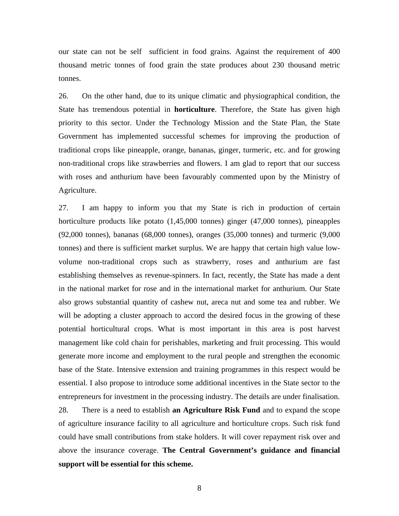our state can not be self sufficient in food grains. Against the requirement of 400 thousand metric tonnes of food grain the state produces about 230 thousand metric tonnes.

26. On the other hand, due to its unique climatic and physiographical condition, the State has tremendous potential in **horticulture**. Therefore, the State has given high priority to this sector. Under the Technology Mission and the State Plan, the State Government has implemented successful schemes for improving the production of traditional crops like pineapple, orange, bananas, ginger, turmeric, etc. and for growing non-traditional crops like strawberries and flowers. I am glad to report that our success with roses and anthurium have been favourably commented upon by the Ministry of Agriculture.

27. I am happy to inform you that my State is rich in production of certain horticulture products like potato  $(1,45,000)$  tonnes) ginger  $(47,000)$  tonnes), pineapples (92,000 tonnes), bananas (68,000 tonnes), oranges (35,000 tonnes) and turmeric (9,000 tonnes) and there is sufficient market surplus. We are happy that certain high value lowvolume non-traditional crops such as strawberry, roses and anthurium are fast establishing themselves as revenue-spinners. In fact, recently, the State has made a dent in the national market for rose and in the international market for anthurium. Our State also grows substantial quantity of cashew nut, areca nut and some tea and rubber. We will be adopting a cluster approach to accord the desired focus in the growing of these potential horticultural crops. What is most important in this area is post harvest management like cold chain for perishables, marketing and fruit processing. This would generate more income and employment to the rural people and strengthen the economic base of the State. Intensive extension and training programmes in this respect would be essential. I also propose to introduce some additional incentives in the State sector to the entrepreneurs for investment in the processing industry. The details are under finalisation. 28. There is a need to establish **an Agriculture Risk Fund** and to expand the scope of agriculture insurance facility to all agriculture and horticulture crops. Such risk fund could have small contributions from stake holders. It will cover repayment risk over and above the insurance coverage. **The Central Government's guidance and financial support will be essential for this scheme.**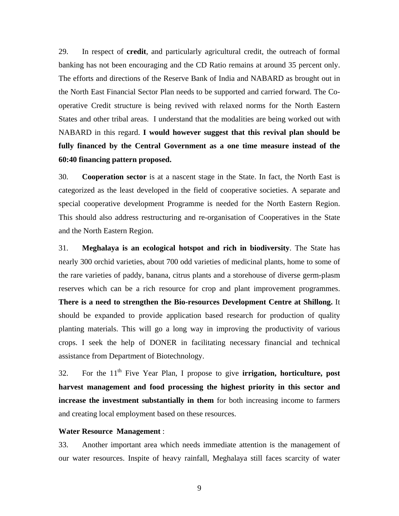29. In respect of **credit**, and particularly agricultural credit, the outreach of formal banking has not been encouraging and the CD Ratio remains at around 35 percent only. The efforts and directions of the Reserve Bank of India and NABARD as brought out in the North East Financial Sector Plan needs to be supported and carried forward. The Cooperative Credit structure is being revived with relaxed norms for the North Eastern States and other tribal areas. I understand that the modalities are being worked out with NABARD in this regard. **I would however suggest that this revival plan should be fully financed by the Central Government as a one time measure instead of the 60:40 financing pattern proposed.** 

30. **Cooperation sector** is at a nascent stage in the State. In fact, the North East is categorized as the least developed in the field of cooperative societies. A separate and special cooperative development Programme is needed for the North Eastern Region. This should also address restructuring and re-organisation of Cooperatives in the State and the North Eastern Region.

31. **Meghalaya is an ecological hotspot and rich in biodiversity**. The State has nearly 300 orchid varieties, about 700 odd varieties of medicinal plants, home to some of the rare varieties of paddy, banana, citrus plants and a storehouse of diverse germ-plasm reserves which can be a rich resource for crop and plant improvement programmes. **There is a need to strengthen the Bio-resources Development Centre at Shillong.** It should be expanded to provide application based research for production of quality planting materials. This will go a long way in improving the productivity of various crops. I seek the help of DONER in facilitating necessary financial and technical assistance from Department of Biotechnology.

32. For the 11th Five Year Plan, I propose to give **irrigation, horticulture, post harvest management and food processing the highest priority in this sector and increase the investment substantially in them** for both increasing income to farmers and creating local employment based on these resources.

### **Water Resource Management** :

33. Another important area which needs immediate attention is the management of our water resources. Inspite of heavy rainfall, Meghalaya still faces scarcity of water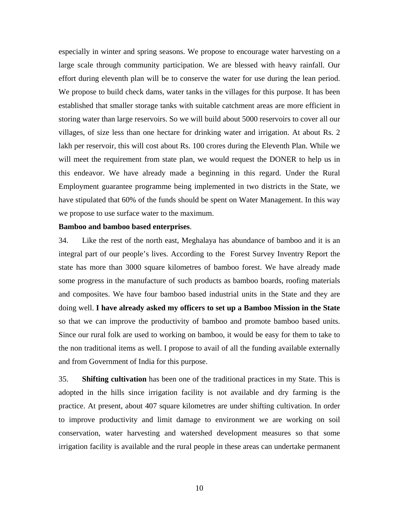especially in winter and spring seasons. We propose to encourage water harvesting on a large scale through community participation. We are blessed with heavy rainfall. Our effort during eleventh plan will be to conserve the water for use during the lean period. We propose to build check dams, water tanks in the villages for this purpose. It has been established that smaller storage tanks with suitable catchment areas are more efficient in storing water than large reservoirs. So we will build about 5000 reservoirs to cover all our villages, of size less than one hectare for drinking water and irrigation. At about Rs. 2 lakh per reservoir, this will cost about Rs. 100 crores during the Eleventh Plan. While we will meet the requirement from state plan, we would request the DONER to help us in this endeavor. We have already made a beginning in this regard. Under the Rural Employment guarantee programme being implemented in two districts in the State, we have stipulated that 60% of the funds should be spent on Water Management. In this way we propose to use surface water to the maximum.

### **Bamboo and bamboo based enterprises**.

34. Like the rest of the north east, Meghalaya has abundance of bamboo and it is an integral part of our people's lives. According to the Forest Survey Inventry Report the state has more than 3000 square kilometres of bamboo forest. We have already made some progress in the manufacture of such products as bamboo boards, roofing materials and composites. We have four bamboo based industrial units in the State and they are doing well. **I have already asked my officers to set up a Bamboo Mission in the State**  so that we can improve the productivity of bamboo and promote bamboo based units. Since our rural folk are used to working on bamboo, it would be easy for them to take to the non traditional items as well. I propose to avail of all the funding available externally and from Government of India for this purpose.

35. **Shifting cultivation** has been one of the traditional practices in my State. This is adopted in the hills since irrigation facility is not available and dry farming is the practice. At present, about 407 square kilometres are under shifting cultivation. In order to improve productivity and limit damage to environment we are working on soil conservation, water harvesting and watershed development measures so that some irrigation facility is available and the rural people in these areas can undertake permanent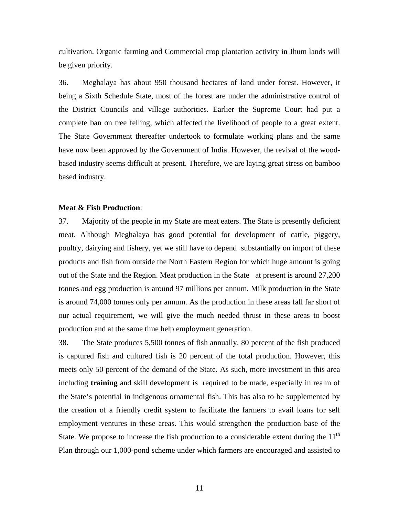cultivation. Organic farming and Commercial crop plantation activity in Jhum lands will be given priority.

36. Meghalaya has about 950 thousand hectares of land under forest. However, it being a Sixth Schedule State, most of the forest are under the administrative control of the District Councils and village authorities. Earlier the Supreme Court had put a complete ban on tree felling, which affected the livelihood of people to a great extent. The State Government thereafter undertook to formulate working plans and the same have now been approved by the Government of India. However, the revival of the woodbased industry seems difficult at present. Therefore, we are laying great stress on bamboo based industry.

### **Meat & Fish Production**:

37. Majority of the people in my State are meat eaters. The State is presently deficient meat. Although Meghalaya has good potential for development of cattle, piggery, poultry, dairying and fishery, yet we still have to depend substantially on import of these products and fish from outside the North Eastern Region for which huge amount is going out of the State and the Region. Meat production in the State at present is around 27,200 tonnes and egg production is around 97 millions per annum. Milk production in the State is around 74,000 tonnes only per annum. As the production in these areas fall far short of our actual requirement, we will give the much needed thrust in these areas to boost production and at the same time help employment generation.

38. The State produces 5,500 tonnes of fish annually. 80 percent of the fish produced is captured fish and cultured fish is 20 percent of the total production. However, this meets only 50 percent of the demand of the State. As such, more investment in this area including **training** and skill development is required to be made, especially in realm of the State's potential in indigenous ornamental fish. This has also to be supplemented by the creation of a friendly credit system to facilitate the farmers to avail loans for self employment ventures in these areas. This would strengthen the production base of the State. We propose to increase the fish production to a considerable extent during the  $11<sup>th</sup>$ Plan through our 1,000-pond scheme under which farmers are encouraged and assisted to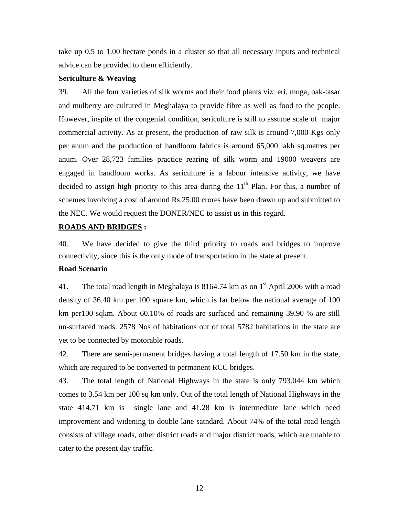take up 0.5 to 1.00 hectare ponds in a cluster so that all necessary inputs and technical advice can be provided to them efficiently.

### **Sericulture & Weaving**

39. All the four varieties of silk worms and their food plants viz: eri, muga, oak-tasar and mulberry are cultured in Meghalaya to provide fibre as well as food to the people. However, inspite of the congenial condition, sericulture is still to assume scale of major commercial activity. As at present, the production of raw silk is around 7,000 Kgs only per anum and the production of handloom fabrics is around 65,000 lakh sq.metres per anum. Over 28,723 families practice rearing of silk worm and 19000 weavers are engaged in handloom works. As sericulture is a labour intensive activity, we have decided to assign high priority to this area during the  $11<sup>th</sup>$  Plan. For this, a number of schemes involving a cost of around Rs.25.00 crores have been drawn up and submitted to the NEC. We would request the DONER/NEC to assist us in this regard.

### **ROADS AND BRIDGES :**

40. We have decided to give the third priority to roads and bridges to improve connectivity, since this is the only mode of transportation in the state at present. **Road Scenario** 

41. The total road length in Meghalaya is 8164.74 km as on  $1<sup>st</sup>$  April 2006 with a road density of 36.40 km per 100 square km, which is far below the national average of 100 km per100 sqkm. About 60.10% of roads are surfaced and remaining 39.90 % are still un-surfaced roads. 2578 Nos of habitations out of total 5782 habitations in the state are yet to be connected by motorable roads.

42. There are semi-permanent bridges having a total length of 17.50 km in the state, which are required to be converted to permanent RCC bridges.

43. The total length of National Highways in the state is only 793.044 km which comes to 3.54 km per 100 sq km only. Out of the total length of National Highways in the state 414.71 km is single lane and 41.28 km is intermediate lane which need improvement and widening to double lane satndard. About 74% of the total road length consists of village roads, other district roads and major district roads, which are unable to cater to the present day traffic.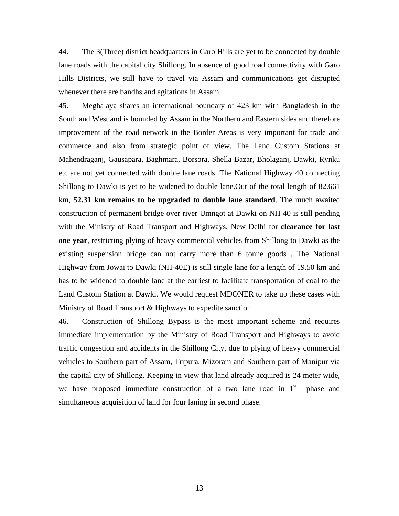44. The 3(Three) district headquarters in Garo Hills are yet to be connected by double lane roads with the capital city Shillong. In absence of good road connectivity with Garo Hills Districts, we still have to travel via Assam and communications get disrupted whenever there are bandhs and agitations in Assam.

45. Meghalaya shares an international boundary of 423 km with Bangladesh in the South and West and is bounded by Assam in the Northern and Eastern sides and therefore improvement of the road network in the Border Areas is very important for trade and commerce and also from strategic point of view. The Land Custom Stations at Mahendraganj, Gausapara, Baghmara, Borsora, Shella Bazar, Bholaganj, Dawki, Rynku etc are not yet connected with double lane roads. The National Highway 40 connecting Shillong to Dawki is yet to be widened to double lane.Out of the total length of 82.661 km, **52.31 km remains to be upgraded to double lane standard**. The much awaited construction of permanent bridge over river Umngot at Dawki on NH 40 is still pending with the Ministry of Road Transport and Highways, New Delhi for **clearance for last one year**, restricting plying of heavy commercial vehicles from Shillong to Dawki as the existing suspension bridge can not carry more than 6 tonne goods . The National Highway from Jowai to Dawki (NH-40E) is still single lane for a length of 19.50 km and has to be widened to double lane at the earliest to facilitate transportation of coal to the Land Custom Station at Dawki. We would request MDONER to take up these cases with Ministry of Road Transport & Highways to expedite sanction .

46. Construction of Shillong Bypass is the most important scheme and requires immediate implementation by the Ministry of Road Transport and Highways to avoid traffic congestion and accidents in the Shillong City, due to plying of heavy commercial vehicles to Southern part of Assam, Tripura, Mizoram and Southern part of Manipur via the capital city of Shillong. Keeping in view that land already acquired is 24 meter wide, we have proposed immediate construction of a two lane road in  $1<sup>st</sup>$  phase and simultaneous acquisition of land for four laning in second phase.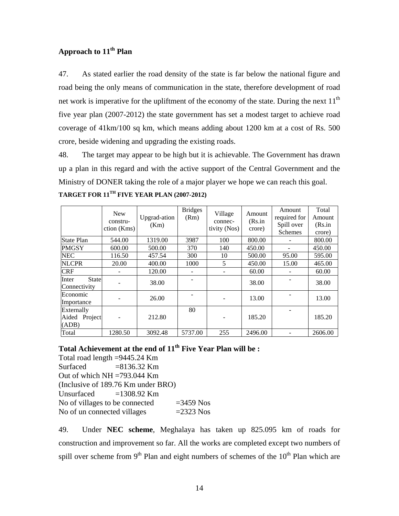# **Approach to 11th Plan**

47. As stated earlier the road density of the state is far below the national figure and road being the only means of communication in the state, therefore development of road net work is imperative for the upliftment of the economy of the state. During the next  $11<sup>th</sup>$ five year plan (2007-2012) the state government has set a modest target to achieve road coverage of 41km/100 sq km, which means adding about 1200 km at a cost of Rs. 500 crore, beside widening and upgrading the existing roads.

48. The target may appear to be high but it is achievable. The Government has drawn up a plan in this regard and with the active support of the Central Government and the Ministry of DONER taking the role of a major player we hope we can reach this goal. **TARGET FOR 11TH FIVE YEAR PLAN (2007-2012)** 

|                                       | <b>New</b><br>constru-<br>ction (Kms) | Upgrad-ation<br>(Km) | <b>Bridges</b><br>(Rm) | Village<br>connec-<br>tivity (Nos) | Amount<br>(Rs.in<br>crore) | Amount<br>required for<br>Spill over<br><b>Schemes</b> | Total<br>Amount<br>(Rs.in<br>crore) |
|---------------------------------------|---------------------------------------|----------------------|------------------------|------------------------------------|----------------------------|--------------------------------------------------------|-------------------------------------|
| <b>State Plan</b>                     | 544.00                                | 1319.00              | 3987                   | 100                                | 800.00                     |                                                        | 800.00                              |
| <b>PMGSY</b>                          | 600.00                                | 500.00               | 370                    | 140                                | 450.00                     |                                                        | 450.00                              |
| <b>NEC</b>                            | 116.50                                | 457.54               | 300                    | 10                                 | 500.00                     | 95.00                                                  | 595.00                              |
| <b>NLCPR</b>                          | 20.00                                 | 400.00               | 1000                   | 5                                  | 450.00                     | 15.00                                                  | 465.00                              |
| <b>CRF</b>                            |                                       | 120.00               |                        |                                    | 60.00                      |                                                        | 60.00                               |
| <b>State</b><br>Inter<br>Connectivity |                                       | 38.00                |                        |                                    | 38.00                      |                                                        | 38.00                               |
| Economic<br>Importance                |                                       | 26.00                |                        |                                    | 13.00                      |                                                        | 13.00                               |
| Externally<br>Aided Project<br>(ADB)  |                                       | 212.80               | 80                     |                                    | 185.20                     |                                                        | 185.20                              |
| Total                                 | 1280.50                               | 3092.48              | 5737.00                | 255                                | 2496.00                    |                                                        | 2606.00                             |

## Total Achievement at the end of 11<sup>th</sup> Five Year Plan will be :

Total road length =9445.24 Km Surfaced  $=8136.32$  Km Out of which  $NH = 793.044$  Km (Inclusive of 189.76 Km under BRO) Unsurfaced  $=1308.92$  Km No of villages to be connected  $=3459$  Nos No of un connected villages  $=2323$  Nos

49. Under **NEC scheme**, Meghalaya has taken up 825.095 km of roads for construction and improvement so far. All the works are completed except two numbers of spill over scheme from  $9<sup>th</sup>$  Plan and eight numbers of schemes of the  $10<sup>th</sup>$  Plan which are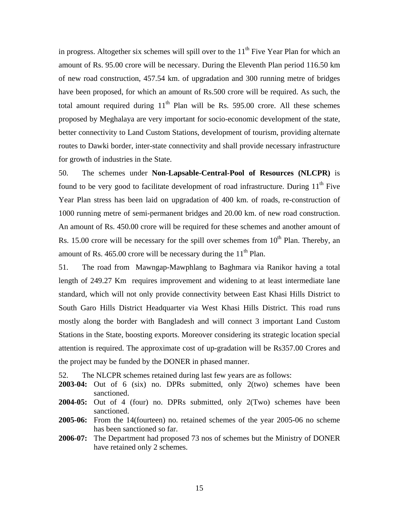in progress. Altogether six schemes will spill over to the  $11<sup>th</sup>$  Five Year Plan for which an amount of Rs. 95.00 crore will be necessary. During the Eleventh Plan period 116.50 km of new road construction, 457.54 km. of upgradation and 300 running metre of bridges have been proposed, for which an amount of Rs.500 crore will be required. As such, the total amount required during  $11<sup>th</sup>$  Plan will be Rs. 595.00 crore. All these schemes proposed by Meghalaya are very important for socio-economic development of the state, better connectivity to Land Custom Stations, development of tourism, providing alternate routes to Dawki border, inter-state connectivity and shall provide necessary infrastructure for growth of industries in the State.

50. The schemes under **Non-Lapsable-Central-Pool of Resources (NLCPR)** is found to be very good to facilitate development of road infrastructure. During  $11<sup>th</sup>$  Five Year Plan stress has been laid on upgradation of 400 km. of roads, re-construction of 1000 running metre of semi-permanent bridges and 20.00 km. of new road construction. An amount of Rs. 450.00 crore will be required for these schemes and another amount of Rs. 15.00 crore will be necessary for the spill over schemes from  $10<sup>th</sup>$  Plan. Thereby, an amount of Rs. 465.00 crore will be necessary during the  $11<sup>th</sup>$  Plan.

51. The road from Mawngap-Mawphlang to Baghmara via Ranikor having a total length of 249.27 Km requires improvement and widening to at least intermediate lane standard, which will not only provide connectivity between East Khasi Hills District to South Garo Hills District Headquarter via West Khasi Hills District. This road runs mostly along the border with Bangladesh and will connect 3 important Land Custom Stations in the State, boosting exports. Moreover considering its strategic location special attention is required. The approximate cost of up-gradation will be Rs357.00 Crores and the project may be funded by the DONER in phased manner.

52. The NLCPR schemes retained during last few years are as follows:

- **2003-04:** Out of 6 (six) no. DPRs submitted, only 2(two) schemes have been sanctioned.
- **2004-05:** Out of 4 (four) no. DPRs submitted, only 2(Two) schemes have been sanctioned.
- **2005-06:** From the 14(fourteen) no. retained schemes of the year 2005-06 no scheme has been sanctioned so far.
- **2006-07:** The Department had proposed 73 nos of schemes but the Ministry of DONER have retained only 2 schemes.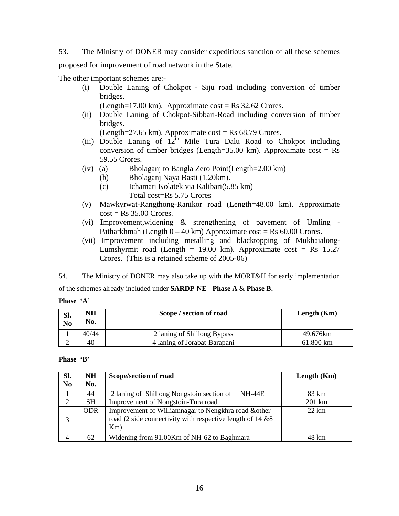53. The Ministry of DONER may consider expeditious sanction of all these schemes proposed for improvement of road network in the State.

The other important schemes are:-

(i) Double Laning of Chokpot - Siju road including conversion of timber bridges.

(Length=17.00 km). Approximate cost = Rs  $32.62$  Crores.

(ii) Double Laning of Chokpot-Sibbari-Road including conversion of timber bridges.

(Length=27.65 km). Approximate cost = Rs  $68.79$  Crores.

- (iii) Double Laning of  $12^{th}$  Mile Tura Dalu Road to Chokpot including conversion of timber bridges (Length=35.00 km). Approximate cost =  $Rs$ 59.55 Crores.
- (iv) (a) Bholaganj to Bangla Zero Point(Length=2.00 km)
	- (b) Bholaganj Naya Basti (1.20km).
	- (c) Ichamati Kolatek via Kalibari(5.85 km) Total cost=Rs 5.75 Crores
- (v) Mawkyrwat-Rangthong-Ranikor road (Length=48.00 km). Approximate  $cost = Rs 35.00$  Crores.
- (vi) Improvement,widening & strengthening of pavement of Umling Patharkhmah (Length  $0 - 40$  km) Approximate cost = Rs 60.00 Crores.
- (vii) Improvement including metalling and blacktopping of Mukhaialong-Lumshyrmit road (Length = 19.00 km). Approximate  $\cos t = \text{Rs } 15.27$ Crores. (This is a retained scheme of 2005-06)

54. The Ministry of DONER may also take up with the MORT&H for early implementation

of the schemes already included under **SARDP-NE - Phase A** & **Phase B.** 

**Phase 'A'**

| Sl.<br>N <sub>0</sub> | NΗ<br>No. | Scope / section of road      | Length $(Km)$ |
|-----------------------|-----------|------------------------------|---------------|
|                       | 40/44     | 2 laning of Shillong Bypass  | 49.676km      |
|                       | 40        | 4 laning of Jorabat-Barapani | 61.800 km     |

## **Phase 'B'**

| SI.            | <b>NH</b>  | Scope/section of road                                                                                                    | Length $(Km)$   |
|----------------|------------|--------------------------------------------------------------------------------------------------------------------------|-----------------|
| N <sub>0</sub> | No.        |                                                                                                                          |                 |
|                | 44         | 2 laning of Shillong Nongstoin section of<br>NH-44E                                                                      | 83 km           |
| $\overline{2}$ | SН         | Improvement of Nongstoin-Tura road                                                                                       | 201 km          |
| 3              | <b>ODR</b> | Improvement of Williamnagar to Nengkhra road &other<br>road (2 side connectivity with respective length of 14 &8)<br>Km) | $22 \text{ km}$ |
| 4              | 62         | Widening from 91.00Km of NH-62 to Baghmara                                                                               | 48 km           |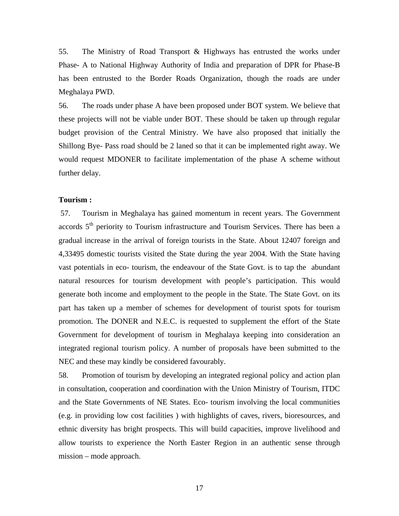55. The Ministry of Road Transport & Highways has entrusted the works under Phase- A to National Highway Authority of India and preparation of DPR for Phase-B has been entrusted to the Border Roads Organization, though the roads are under Meghalaya PWD.

56. The roads under phase A have been proposed under BOT system. We believe that these projects will not be viable under BOT. These should be taken up through regular budget provision of the Central Ministry. We have also proposed that initially the Shillong Bye- Pass road should be 2 laned so that it can be implemented right away. We would request MDONER to facilitate implementation of the phase A scheme without further delay.

### **Tourism :**

 57. Tourism in Meghalaya has gained momentum in recent years. The Government accords 5<sup>th</sup> periority to Tourism infrastructure and Tourism Services. There has been a gradual increase in the arrival of foreign tourists in the State. About 12407 foreign and 4,33495 domestic tourists visited the State during the year 2004. With the State having vast potentials in eco- tourism, the endeavour of the State Govt. is to tap the abundant natural resources for tourism development with people's participation. This would generate both income and employment to the people in the State. The State Govt. on its part has taken up a member of schemes for development of tourist spots for tourism promotion. The DONER and N.E.C. is requested to supplement the effort of the State Government for development of tourism in Meghalaya keeping into consideration an integrated regional tourism policy. A number of proposals have been submitted to the NEC and these may kindly be considered favourably.

58. Promotion of tourism by developing an integrated regional policy and action plan in consultation, cooperation and coordination with the Union Ministry of Tourism, ITDC and the State Governments of NE States. Eco- tourism involving the local communities (e.g. in providing low cost facilities ) with highlights of caves, rivers, bioresources, and ethnic diversity has bright prospects. This will build capacities, improve livelihood and allow tourists to experience the North Easter Region in an authentic sense through mission – mode approach.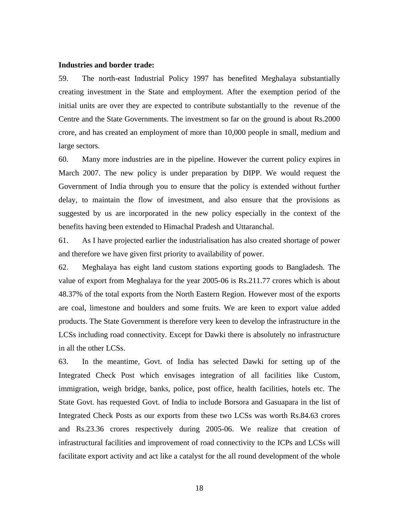#### **Industries and border trade:**

59. The north-east Industrial Policy 1997 has benefited Meghalaya substantially creating investment in the State and employment. After the exemption period of the initial units are over they are expected to contribute substantially to the revenue of the Centre and the State Governments. The investment so far on the ground is about Rs.2000 crore, and has created an employment of more than 10,000 people in small, medium and large sectors.

60. Many more industries are in the pipeline. However the current policy expires in March 2007. The new policy is under preparation by DIPP. We would request the Government of India through you to ensure that the policy is extended without further delay, to maintain the flow of investment, and also ensure that the provisions as suggested by us are incorporated in the new policy especially in the context of the benefits having been extended to Himachal Pradesh and Uttaranchal.

61. As I have projected earlier the industrialisation has also created shortage of power and therefore we have given first priority to availability of power.

62. Meghalaya has eight land custom stations exporting goods to Bangladesh. The value of export from Meghalaya for the year 2005-06 is Rs.211.77 crores which is about 48.37% of the total exports from the North Eastern Region. However most of the exports are coal, limestone and boulders and some fruits. We are keen to export value added products. The State Government is therefore very keen to develop the infrastructure in the LCSs including road connectivity. Except for Dawki there is absolutely no infrastructure in all the other LCSs.

63. In the meantime, Govt. of India has selected Dawki for setting up of the Integrated Check Post which envisages integration of all facilities like Custom, immigration, weigh bridge, banks, police, post office, health facilities, hotels etc. The State Govt. has requested Govt. of India to include Borsora and Gasuapara in the list of Integrated Check Posts as our exports from these two LCSs was worth Rs.84.63 crores and Rs.23.36 crores respectively during 2005-06. We realize that creation of infrastructural facilities and improvement of road connectivity to the ICPs and LCSs will facilitate export activity and act like a catalyst for the all round development of the whole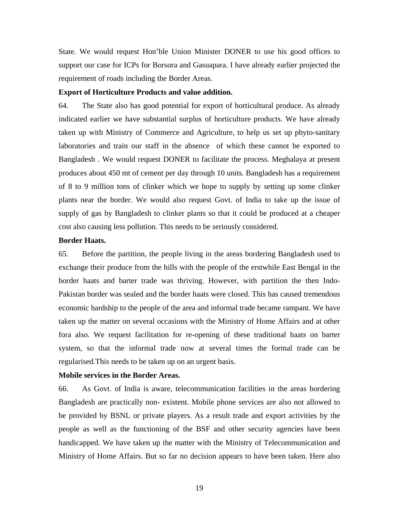State. We would request Hon'ble Union Minister DONER to use his good offices to support our case for ICPs for Borsora and Gasuapara. I have already earlier projected the requirement of roads including the Border Areas.

### **Export of Horticulture Products and value addition.**

64. The State also has good potential for export of horticultural produce. As already indicated earlier we have substantial surplus of horticulture products. We have already taken up with Ministry of Commerce and Agriculture, to help us set up phyto-sanitary laboratories and train our staff in the absence of which these cannot be exported to Bangladesh . We would request DONER to facilitate the process. Meghalaya at present produces about 450 mt of cement per day through 10 units. Bangladesh has a requirement of 8 to 9 million tons of clinker which we hope to supply by setting up some clinker plants near the border. We would also request Govt. of India to take up the issue of supply of gas by Bangladesh to clinker plants so that it could be produced at a cheaper cost also causing less pollution. This needs to be seriously considered.

## **Border Haats.**

65. Before the partition, the people living in the areas bordering Bangladesh used to exchange their produce from the hills with the people of the erstwhile East Bengal in the border haats and barter trade was thriving. However, with partition the then Indo-Pakistan border was sealed and the border haats were closed. This has caused tremendous economic hardship to the people of the area and informal trade became rampant. We have taken up the matter on several occasions with the Ministry of Home Affairs and at other fora also. We request facilitation for re-opening of these traditional haats on barter system, so that the informal trade now at several times the formal trade can be regularised.This needs to be taken up on an urgent basis.

### **Mobile services in the Border Areas.**

66. As Govt. of India is aware, telecommunication facilities in the areas bordering Bangladesh are practically non- existent. Mobile phone services are also not allowed to be provided by BSNL or private players. As a result trade and export activities by the people as well as the functioning of the BSF and other security agencies have been handicapped. We have taken up the matter with the Ministry of Telecommunication and Ministry of Home Affairs. But so far no decision appears to have been taken. Here also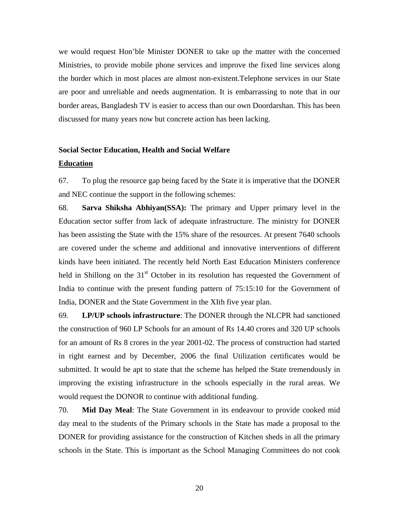we would request Hon'ble Minister DONER to take up the matter with the concerned Ministries, to provide mobile phone services and improve the fixed line services along the border which in most places are almost non-existent.Telephone services in our State are poor and unreliable and needs augmentation. It is embarrassing to note that in our border areas, Bangladesh TV is easier to access than our own Doordarshan. This has been discussed for many years now but concrete action has been lacking.

# **Social Sector Education, Health and Social Welfare Education**

67. To plug the resource gap being faced by the State it is imperative that the DONER and NEC continue the support in the following schemes:

68. **Sarva Shiksha Abhiyan(SSA):** The primary and Upper primary level in the Education sector suffer from lack of adequate infrastructure. The ministry for DONER has been assisting the State with the 15% share of the resources. At present 7640 schools are covered under the scheme and additional and innovative interventions of different kinds have been initiated. The recently held North East Education Ministers conference held in Shillong on the  $31<sup>st</sup>$  October in its resolution has requested the Government of India to continue with the present funding pattern of 75:15:10 for the Government of India, DONER and the State Government in the XIth five year plan.

69. **LP/UP schools infrastructure**: The DONER through the NLCPR had sanctioned the construction of 960 LP Schools for an amount of Rs 14.40 crores and 320 UP schools for an amount of Rs 8 crores in the year 2001-02. The process of construction had started in right earnest and by December, 2006 the final Utilization certificates would be submitted. It would be apt to state that the scheme has helped the State tremendously in improving the existing infrastructure in the schools especially in the rural areas. We would request the DONOR to continue with additional funding.

70. **Mid Day Meal**: The State Government in its endeavour to provide cooked mid day meal to the students of the Primary schools in the State has made a proposal to the DONER for providing assistance for the construction of Kitchen sheds in all the primary schools in the State. This is important as the School Managing Committees do not cook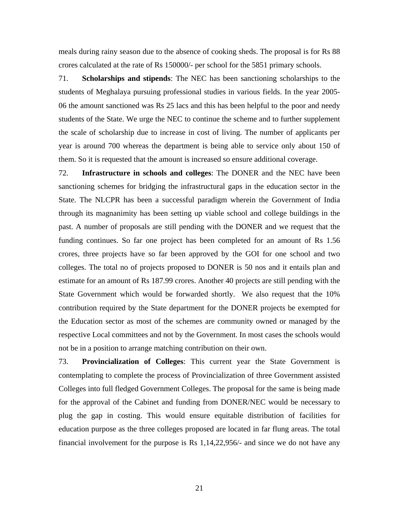meals during rainy season due to the absence of cooking sheds. The proposal is for Rs 88 crores calculated at the rate of Rs 150000/- per school for the 5851 primary schools.

71. **Scholarships and stipends**: The NEC has been sanctioning scholarships to the students of Meghalaya pursuing professional studies in various fields. In the year 2005- 06 the amount sanctioned was Rs 25 lacs and this has been helpful to the poor and needy students of the State. We urge the NEC to continue the scheme and to further supplement the scale of scholarship due to increase in cost of living. The number of applicants per year is around 700 whereas the department is being able to service only about 150 of them. So it is requested that the amount is increased so ensure additional coverage.

72. **Infrastructure in schools and colleges**: The DONER and the NEC have been sanctioning schemes for bridging the infrastructural gaps in the education sector in the State. The NLCPR has been a successful paradigm wherein the Government of India through its magnanimity has been setting up viable school and college buildings in the past. A number of proposals are still pending with the DONER and we request that the funding continues. So far one project has been completed for an amount of Rs 1.56 crores, three projects have so far been approved by the GOI for one school and two colleges. The total no of projects proposed to DONER is 50 nos and it entails plan and estimate for an amount of Rs 187.99 crores. Another 40 projects are still pending with the State Government which would be forwarded shortly. We also request that the 10% contribution required by the State department for the DONER projects be exempted for the Education sector as most of the schemes are community owned or managed by the respective Local committees and not by the Government. In most cases the schools would not be in a position to arrange matching contribution on their own.

73. **Provincialization of Colleges**: This current year the State Government is contemplating to complete the process of Provincialization of three Government assisted Colleges into full fledged Government Colleges. The proposal for the same is being made for the approval of the Cabinet and funding from DONER/NEC would be necessary to plug the gap in costing. This would ensure equitable distribution of facilities for education purpose as the three colleges proposed are located in far flung areas. The total financial involvement for the purpose is Rs 1,14,22,956/- and since we do not have any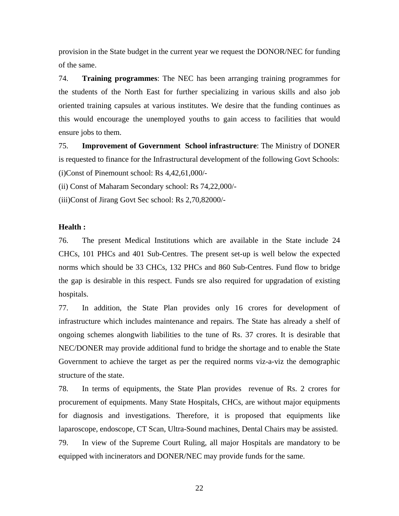provision in the State budget in the current year we request the DONOR/NEC for funding of the same.

74. **Training programmes**: The NEC has been arranging training programmes for the students of the North East for further specializing in various skills and also job oriented training capsules at various institutes. We desire that the funding continues as this would encourage the unemployed youths to gain access to facilities that would ensure jobs to them.

75. **Improvement of Government School infrastructure**: The Ministry of DONER is requested to finance for the Infrastructural development of the following Govt Schools: (i)Const of Pinemount school: Rs 4,42,61,000/-

(ii) Const of Maharam Secondary school: Rs 74,22,000/-

(iii)Const of Jirang Govt Sec school: Rs 2,70,82000/-

## **Health :**

76. The present Medical Institutions which are available in the State include 24 CHCs, 101 PHCs and 401 Sub-Centres. The present set-up is well below the expected norms which should be 33 CHCs, 132 PHCs and 860 Sub-Centres. Fund flow to bridge the gap is desirable in this respect. Funds sre also required for upgradation of existing hospitals.

77. In addition, the State Plan provides only 16 crores for development of infrastructure which includes maintenance and repairs. The State has already a shelf of ongoing schemes alongwith liabilities to the tune of Rs. 37 crores. It is desirable that NEC/DONER may provide additional fund to bridge the shortage and to enable the State Government to achieve the target as per the required norms viz-a-viz the demographic structure of the state.

78. In terms of equipments, the State Plan provides revenue of Rs. 2 crores for procurement of equipments. Many State Hospitals, CHCs, are without major equipments for diagnosis and investigations. Therefore, it is proposed that equipments like laparoscope, endoscope, CT Scan, Ultra-Sound machines, Dental Chairs may be assisted. 79. In view of the Supreme Court Ruling, all major Hospitals are mandatory to be equipped with incinerators and DONER/NEC may provide funds for the same.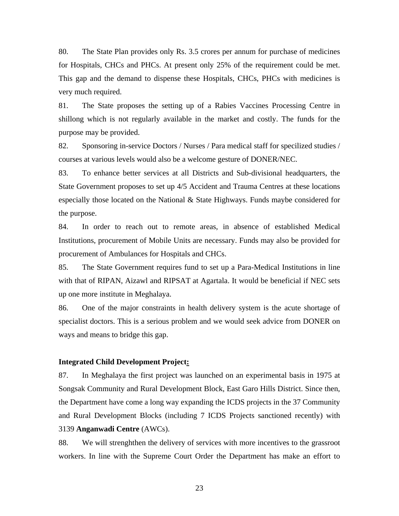80. The State Plan provides only Rs. 3.5 crores per annum for purchase of medicines for Hospitals, CHCs and PHCs. At present only 25% of the requirement could be met. This gap and the demand to dispense these Hospitals, CHCs, PHCs with medicines is very much required.

81. The State proposes the setting up of a Rabies Vaccines Processing Centre in shillong which is not regularly available in the market and costly. The funds for the purpose may be provided.

82. Sponsoring in-service Doctors / Nurses / Para medical staff for specilized studies / courses at various levels would also be a welcome gesture of DONER/NEC.

83. To enhance better services at all Districts and Sub-divisional headquarters, the State Government proposes to set up 4/5 Accident and Trauma Centres at these locations especially those located on the National & State Highways. Funds maybe considered for the purpose.

84. In order to reach out to remote areas, in absence of established Medical Institutions, procurement of Mobile Units are necessary. Funds may also be provided for procurement of Ambulances for Hospitals and CHCs.

85. The State Government requires fund to set up a Para-Medical Institutions in line with that of RIPAN, Aizawl and RIPSAT at Agartala. It would be beneficial if NEC sets up one more institute in Meghalaya.

86. One of the major constraints in health delivery system is the acute shortage of specialist doctors. This is a serious problem and we would seek advice from DONER on ways and means to bridge this gap.

### **Integrated Child Development Project:**

87. In Meghalaya the first project was launched on an experimental basis in 1975 at Songsak Community and Rural Development Block, East Garo Hills District. Since then, the Department have come a long way expanding the ICDS projects in the 37 Community and Rural Development Blocks (including 7 ICDS Projects sanctioned recently) with 3139 **Anganwadi Centre** (AWCs).

88. We will strenghthen the delivery of services with more incentives to the grassroot workers. In line with the Supreme Court Order the Department has make an effort to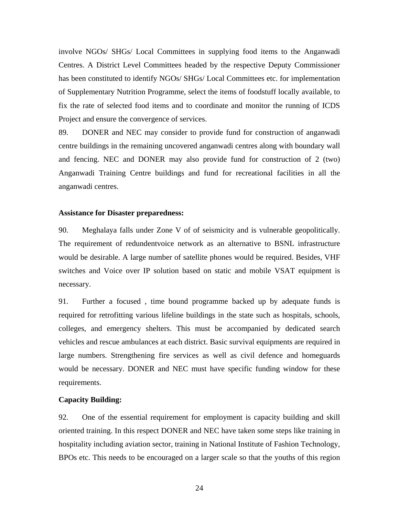involve NGOs/ SHGs/ Local Committees in supplying food items to the Anganwadi Centres. A District Level Committees headed by the respective Deputy Commissioner has been constituted to identify NGOs/ SHGs/ Local Committees etc. for implementation of Supplementary Nutrition Programme, select the items of foodstuff locally available, to fix the rate of selected food items and to coordinate and monitor the running of ICDS Project and ensure the convergence of services.

89. DONER and NEC may consider to provide fund for construction of anganwadi centre buildings in the remaining uncovered anganwadi centres along with boundary wall and fencing. NEC and DONER may also provide fund for construction of 2 (two) Anganwadi Training Centre buildings and fund for recreational facilities in all the anganwadi centres.

#### **Assistance for Disaster preparedness:**

90. Meghalaya falls under Zone V of of seismicity and is vulnerable geopolitically. The requirement of redundentvoice network as an alternative to BSNL infrastructure would be desirable. A large number of satellite phones would be required. Besides, VHF switches and Voice over IP solution based on static and mobile VSAT equipment is necessary.

91. Further a focused , time bound programme backed up by adequate funds is required for retrofitting various lifeline buildings in the state such as hospitals, schools, colleges, and emergency shelters. This must be accompanied by dedicated search vehicles and rescue ambulances at each district. Basic survival equipments are required in large numbers. Strengthening fire services as well as civil defence and homeguards would be necessary. DONER and NEC must have specific funding window for these requirements.

## **Capacity Building:**

92. One of the essential requirement for employment is capacity building and skill oriented training. In this respect DONER and NEC have taken some steps like training in hospitality including aviation sector, training in National Institute of Fashion Technology, BPOs etc. This needs to be encouraged on a larger scale so that the youths of this region